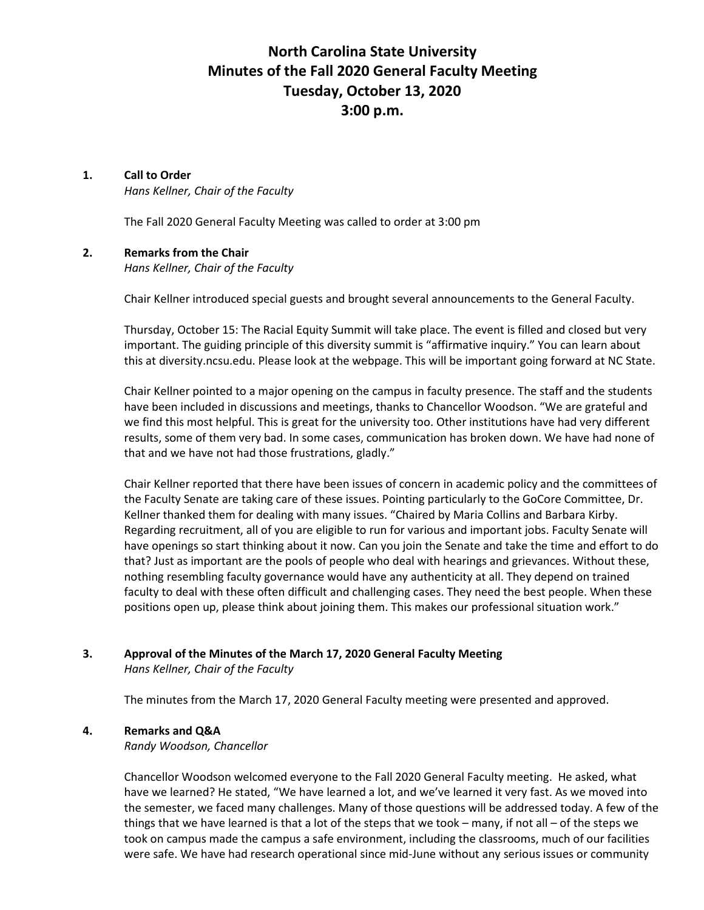# **North Carolina State University Minutes of the Fall 2020 General Faculty Meeting Tuesday, October 13, 2020 3:00 p.m.**

# **1. Call to Order**

*Hans Kellner, Chair of the Faculty* 

The Fall 2020 General Faculty Meeting was called to order at 3:00 pm

# **2. Remarks from the Chair**

*Hans Kellner, Chair of the Faculty* 

Chair Kellner introduced special guests and brought several announcements to the General Faculty.

Thursday, October 15: The Racial Equity Summit will take place. The event is filled and closed but very important. The guiding principle of this diversity summit is "affirmative inquiry." You can learn about this at diversity.ncsu.edu. Please look at the webpage. This will be important going forward at NC State.

Chair Kellner pointed to a major opening on the campus in faculty presence. The staff and the students have been included in discussions and meetings, thanks to Chancellor Woodson. "We are grateful and we find this most helpful. This is great for the university too. Other institutions have had very different results, some of them very bad. In some cases, communication has broken down. We have had none of that and we have not had those frustrations, gladly."

Chair Kellner reported that there have been issues of concern in academic policy and the committees of the Faculty Senate are taking care of these issues. Pointing particularly to the GoCore Committee, Dr. Kellner thanked them for dealing with many issues. "Chaired by Maria Collins and Barbara Kirby. Regarding recruitment, all of you are eligible to run for various and important jobs. Faculty Senate will have openings so start thinking about it now. Can you join the Senate and take the time and effort to do that? Just as important are the pools of people who deal with hearings and grievances. Without these, nothing resembling faculty governance would have any authenticity at all. They depend on trained faculty to deal with these often difficult and challenging cases. They need the best people. When these positions open up, please think about joining them. This makes our professional situation work."

# **3. Approval of the Minutes of the March 17, 2020 General Faculty Meeting**

*Hans Kellner, Chair of the Faculty* 

The minutes from the March 17, 2020 General Faculty meeting were presented and approved.

# **4. Remarks and Q&A**

*Randy Woodson, Chancellor* 

Chancellor Woodson welcomed everyone to the Fall 2020 General Faculty meeting. He asked, what have we learned? He stated, "We have learned a lot, and we've learned it very fast. As we moved into the semester, we faced many challenges. Many of those questions will be addressed today. A few of the things that we have learned is that a lot of the steps that we took – many, if not all – of the steps we took on campus made the campus a safe environment, including the classrooms, much of our facilities were safe. We have had research operational since mid-June without any serious issues or community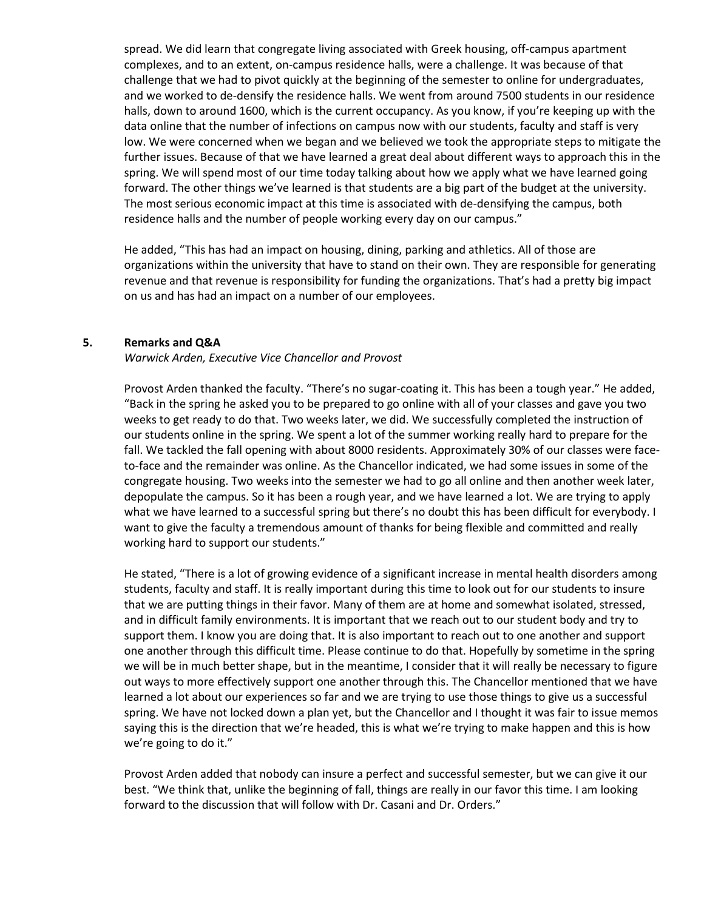spread. We did learn that congregate living associated with Greek housing, off-campus apartment complexes, and to an extent, on-campus residence halls, were a challenge. It was because of that challenge that we had to pivot quickly at the beginning of the semester to online for undergraduates, and we worked to de-densify the residence halls. We went from around 7500 students in our residence halls, down to around 1600, which is the current occupancy. As you know, if you're keeping up with the data online that the number of infections on campus now with our students, faculty and staff is very low. We were concerned when we began and we believed we took the appropriate steps to mitigate the further issues. Because of that we have learned a great deal about different ways to approach this in the spring. We will spend most of our time today talking about how we apply what we have learned going forward. The other things we've learned is that students are a big part of the budget at the university. The most serious economic impact at this time is associated with de-densifying the campus, both residence halls and the number of people working every day on our campus."

He added, "This has had an impact on housing, dining, parking and athletics. All of those are organizations within the university that have to stand on their own. They are responsible for generating revenue and that revenue is responsibility for funding the organizations. That's had a pretty big impact on us and has had an impact on a number of our employees.

# **5. Remarks and Q&A**

*Warwick Arden, Executive Vice Chancellor and Provost* 

Provost Arden thanked the faculty. "There's no sugar-coating it. This has been a tough year." He added, "Back in the spring he asked you to be prepared to go online with all of your classes and gave you two weeks to get ready to do that. Two weeks later, we did. We successfully completed the instruction of our students online in the spring. We spent a lot of the summer working really hard to prepare for the fall. We tackled the fall opening with about 8000 residents. Approximately 30% of our classes were faceto-face and the remainder was online. As the Chancellor indicated, we had some issues in some of the congregate housing. Two weeks into the semester we had to go all online and then another week later, depopulate the campus. So it has been a rough year, and we have learned a lot. We are trying to apply what we have learned to a successful spring but there's no doubt this has been difficult for everybody. I want to give the faculty a tremendous amount of thanks for being flexible and committed and really working hard to support our students."

He stated, "There is a lot of growing evidence of a significant increase in mental health disorders among students, faculty and staff. It is really important during this time to look out for our students to insure that we are putting things in their favor. Many of them are at home and somewhat isolated, stressed, and in difficult family environments. It is important that we reach out to our student body and try to support them. I know you are doing that. It is also important to reach out to one another and support one another through this difficult time. Please continue to do that. Hopefully by sometime in the spring we will be in much better shape, but in the meantime, I consider that it will really be necessary to figure out ways to more effectively support one another through this. The Chancellor mentioned that we have learned a lot about our experiences so far and we are trying to use those things to give us a successful spring. We have not locked down a plan yet, but the Chancellor and I thought it was fair to issue memos saying this is the direction that we're headed, this is what we're trying to make happen and this is how we're going to do it."

Provost Arden added that nobody can insure a perfect and successful semester, but we can give it our best. "We think that, unlike the beginning of fall, things are really in our favor this time. I am looking forward to the discussion that will follow with Dr. Casani and Dr. Orders."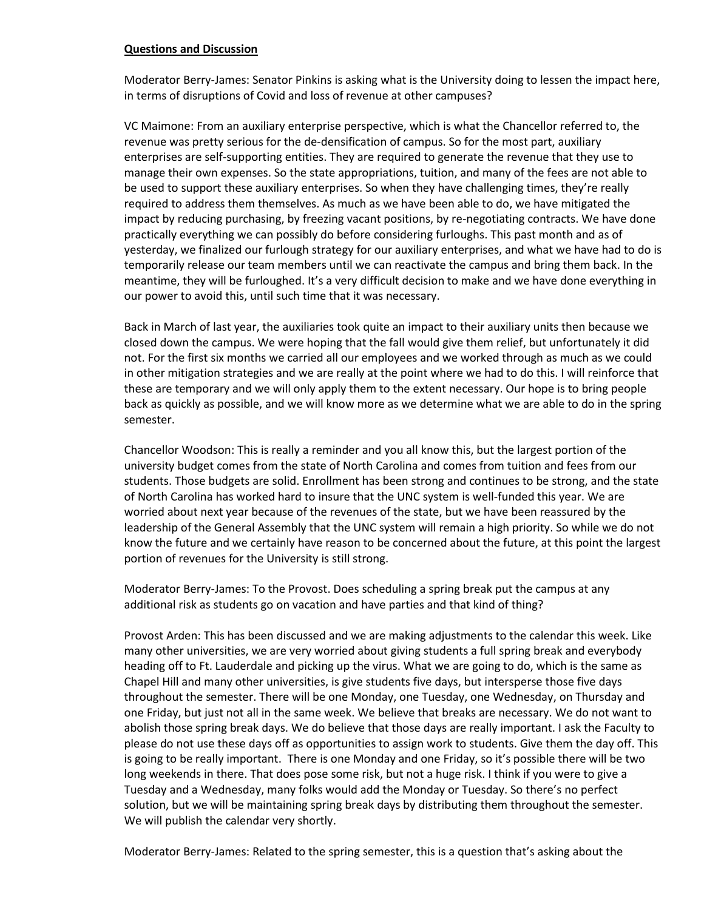# **Questions and Discussion**

Moderator Berry-James: Senator Pinkins is asking what is the University doing to lessen the impact here, in terms of disruptions of Covid and loss of revenue at other campuses?

VC Maimone: From an auxiliary enterprise perspective, which is what the Chancellor referred to, the revenue was pretty serious for the de-densification of campus. So for the most part, auxiliary enterprises are self-supporting entities. They are required to generate the revenue that they use to manage their own expenses. So the state appropriations, tuition, and many of the fees are not able to be used to support these auxiliary enterprises. So when they have challenging times, they're really required to address them themselves. As much as we have been able to do, we have mitigated the impact by reducing purchasing, by freezing vacant positions, by re-negotiating contracts. We have done practically everything we can possibly do before considering furloughs. This past month and as of yesterday, we finalized our furlough strategy for our auxiliary enterprises, and what we have had to do is temporarily release our team members until we can reactivate the campus and bring them back. In the meantime, they will be furloughed. It's a very difficult decision to make and we have done everything in our power to avoid this, until such time that it was necessary.

Back in March of last year, the auxiliaries took quite an impact to their auxiliary units then because we closed down the campus. We were hoping that the fall would give them relief, but unfortunately it did not. For the first six months we carried all our employees and we worked through as much as we could in other mitigation strategies and we are really at the point where we had to do this. I will reinforce that these are temporary and we will only apply them to the extent necessary. Our hope is to bring people back as quickly as possible, and we will know more as we determine what we are able to do in the spring semester.

Chancellor Woodson: This is really a reminder and you all know this, but the largest portion of the university budget comes from the state of North Carolina and comes from tuition and fees from our students. Those budgets are solid. Enrollment has been strong and continues to be strong, and the state of North Carolina has worked hard to insure that the UNC system is well-funded this year. We are worried about next year because of the revenues of the state, but we have been reassured by the leadership of the General Assembly that the UNC system will remain a high priority. So while we do not know the future and we certainly have reason to be concerned about the future, at this point the largest portion of revenues for the University is still strong.

Moderator Berry-James: To the Provost. Does scheduling a spring break put the campus at any additional risk as students go on vacation and have parties and that kind of thing?

Provost Arden: This has been discussed and we are making adjustments to the calendar this week. Like many other universities, we are very worried about giving students a full spring break and everybody heading off to Ft. Lauderdale and picking up the virus. What we are going to do, which is the same as Chapel Hill and many other universities, is give students five days, but intersperse those five days throughout the semester. There will be one Monday, one Tuesday, one Wednesday, on Thursday and one Friday, but just not all in the same week. We believe that breaks are necessary. We do not want to abolish those spring break days. We do believe that those days are really important. I ask the Faculty to please do not use these days off as opportunities to assign work to students. Give them the day off. This is going to be really important. There is one Monday and one Friday, so it's possible there will be two long weekends in there. That does pose some risk, but not a huge risk. I think if you were to give a Tuesday and a Wednesday, many folks would add the Monday or Tuesday. So there's no perfect solution, but we will be maintaining spring break days by distributing them throughout the semester. We will publish the calendar very shortly.

Moderator Berry-James: Related to the spring semester, this is a question that's asking about the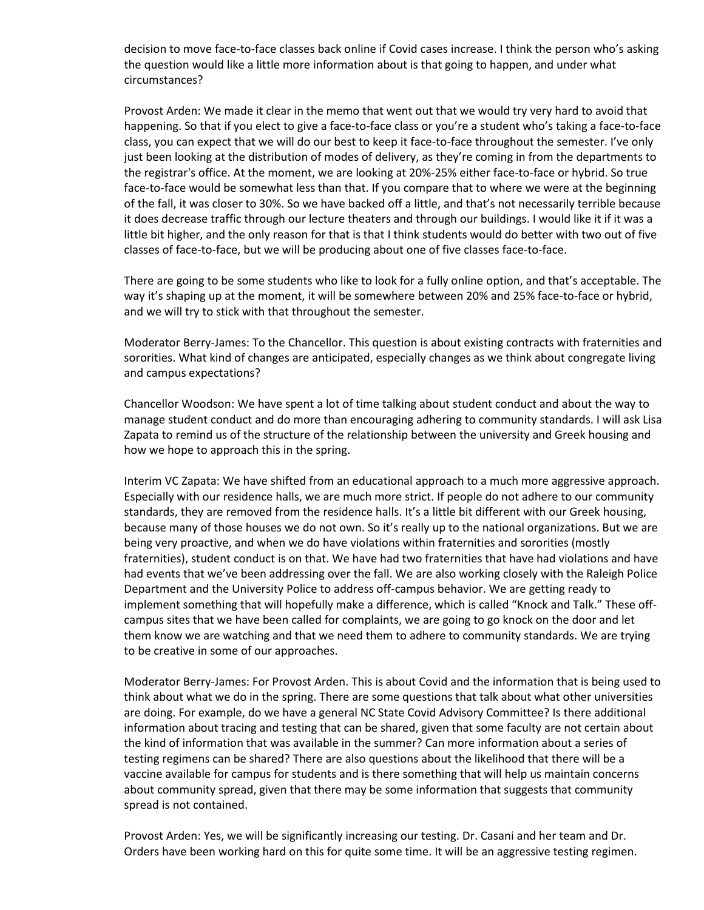decision to move face-to-face classes back online if Covid cases increase. I think the person who's asking the question would like a little more information about is that going to happen, and under what circumstances?

Provost Arden: We made it clear in the memo that went out that we would try very hard to avoid that happening. So that if you elect to give a face-to-face class or you're a student who's taking a face-to-face class, you can expect that we will do our best to keep it face-to-face throughout the semester. I've only just been looking at the distribution of modes of delivery, as they're coming in from the departments to the registrar's office. At the moment, we are looking at 20%-25% either face-to-face or hybrid. So true face-to-face would be somewhat less than that. If you compare that to where we were at the beginning of the fall, it was closer to 30%. So we have backed off a little, and that's not necessarily terrible because it does decrease traffic through our lecture theaters and through our buildings. I would like it if it was a little bit higher, and the only reason for that is that I think students would do better with two out of five classes of face-to-face, but we will be producing about one of five classes face-to-face.

There are going to be some students who like to look for a fully online option, and that's acceptable. The way it's shaping up at the moment, it will be somewhere between 20% and 25% face-to-face or hybrid, and we will try to stick with that throughout the semester.

Moderator Berry-James: To the Chancellor. This question is about existing contracts with fraternities and sororities. What kind of changes are anticipated, especially changes as we think about congregate living and campus expectations?

Chancellor Woodson: We have spent a lot of time talking about student conduct and about the way to manage student conduct and do more than encouraging adhering to community standards. I will ask Lisa Zapata to remind us of the structure of the relationship between the university and Greek housing and how we hope to approach this in the spring.

Interim VC Zapata: We have shifted from an educational approach to a much more aggressive approach. Especially with our residence halls, we are much more strict. If people do not adhere to our community standards, they are removed from the residence halls. It's a little bit different with our Greek housing, because many of those houses we do not own. So it's really up to the national organizations. But we are being very proactive, and when we do have violations within fraternities and sororities (mostly fraternities), student conduct is on that. We have had two fraternities that have had violations and have had events that we've been addressing over the fall. We are also working closely with the Raleigh Police Department and the University Police to address off-campus behavior. We are getting ready to implement something that will hopefully make a difference, which is called "Knock and Talk." These offcampus sites that we have been called for complaints, we are going to go knock on the door and let them know we are watching and that we need them to adhere to community standards. We are trying to be creative in some of our approaches.

Moderator Berry-James: For Provost Arden. This is about Covid and the information that is being used to think about what we do in the spring. There are some questions that talk about what other universities are doing. For example, do we have a general NC State Covid Advisory Committee? Is there additional information about tracing and testing that can be shared, given that some faculty are not certain about the kind of information that was available in the summer? Can more information about a series of testing regimens can be shared? There are also questions about the likelihood that there will be a vaccine available for campus for students and is there something that will help us maintain concerns about community spread, given that there may be some information that suggests that community spread is not contained.

Provost Arden: Yes, we will be significantly increasing our testing. Dr. Casani and her team and Dr. Orders have been working hard on this for quite some time. It will be an aggressive testing regimen.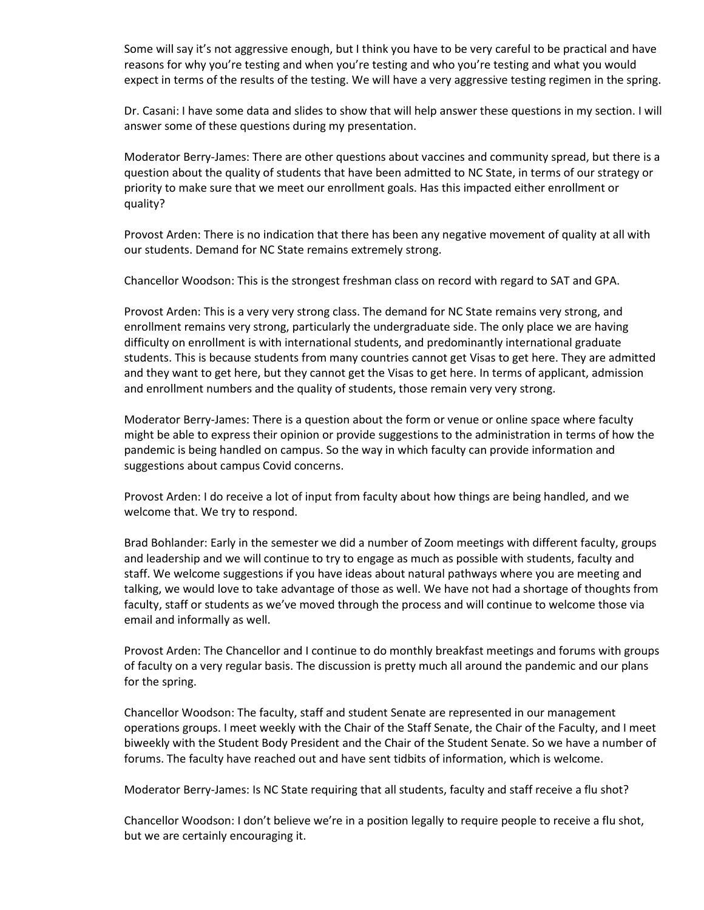Some will say it's not aggressive enough, but I think you have to be very careful to be practical and have reasons for why you're testing and when you're testing and who you're testing and what you would expect in terms of the results of the testing. We will have a very aggressive testing regimen in the spring.

Dr. Casani: I have some data and slides to show that will help answer these questions in my section. I will answer some of these questions during my presentation.

Moderator Berry-James: There are other questions about vaccines and community spread, but there is a question about the quality of students that have been admitted to NC State, in terms of our strategy or priority to make sure that we meet our enrollment goals. Has this impacted either enrollment or quality?

Provost Arden: There is no indication that there has been any negative movement of quality at all with our students. Demand for NC State remains extremely strong.

Chancellor Woodson: This is the strongest freshman class on record with regard to SAT and GPA.

Provost Arden: This is a very very strong class. The demand for NC State remains very strong, and enrollment remains very strong, particularly the undergraduate side. The only place we are having difficulty on enrollment is with international students, and predominantly international graduate students. This is because students from many countries cannot get Visas to get here. They are admitted and they want to get here, but they cannot get the Visas to get here. In terms of applicant, admission and enrollment numbers and the quality of students, those remain very very strong.

Moderator Berry-James: There is a question about the form or venue or online space where faculty might be able to express their opinion or provide suggestions to the administration in terms of how the pandemic is being handled on campus. So the way in which faculty can provide information and suggestions about campus Covid concerns.

Provost Arden: I do receive a lot of input from faculty about how things are being handled, and we welcome that. We try to respond.

Brad Bohlander: Early in the semester we did a number of Zoom meetings with different faculty, groups and leadership and we will continue to try to engage as much as possible with students, faculty and staff. We welcome suggestions if you have ideas about natural pathways where you are meeting and talking, we would love to take advantage of those as well. We have not had a shortage of thoughts from faculty, staff or students as we've moved through the process and will continue to welcome those via email and informally as well.

Provost Arden: The Chancellor and I continue to do monthly breakfast meetings and forums with groups of faculty on a very regular basis. The discussion is pretty much all around the pandemic and our plans for the spring.

Chancellor Woodson: The faculty, staff and student Senate are represented in our management operations groups. I meet weekly with the Chair of the Staff Senate, the Chair of the Faculty, and I meet biweekly with the Student Body President and the Chair of the Student Senate. So we have a number of forums. The faculty have reached out and have sent tidbits of information, which is welcome.

Moderator Berry-James: Is NC State requiring that all students, faculty and staff receive a flu shot?

Chancellor Woodson: I don't believe we're in a position legally to require people to receive a flu shot, but we are certainly encouraging it.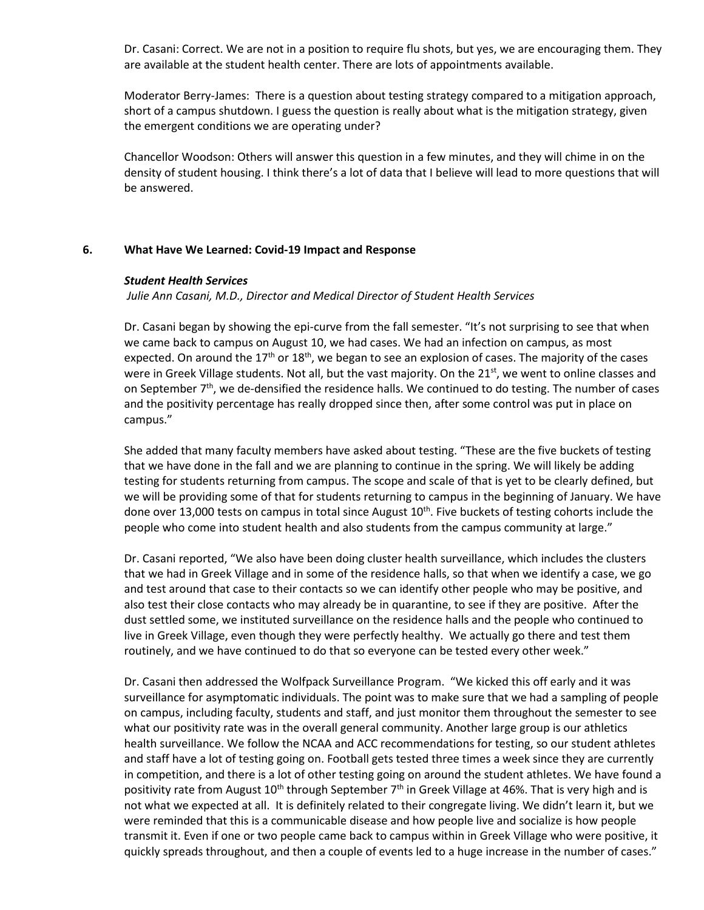Dr. Casani: Correct. We are not in a position to require flu shots, but yes, we are encouraging them. They are available at the student health center. There are lots of appointments available.

Moderator Berry-James: There is a question about testing strategy compared to a mitigation approach, short of a campus shutdown. I guess the question is really about what is the mitigation strategy, given the emergent conditions we are operating under?

Chancellor Woodson: Others will answer this question in a few minutes, and they will chime in on the density of student housing. I think there's a lot of data that I believe will lead to more questions that will be answered.

# **6. What Have We Learned: Covid-19 Impact and Response**

#### *Student Health Services*

*Julie Ann Casani, M.D., Director and Medical Director of Student Health Services*

Dr. Casani began by showing the epi-curve from the fall semester. "It's not surprising to see that when we came back to campus on August 10, we had cases. We had an infection on campus, as most expected. On around the  $17<sup>th</sup>$  or  $18<sup>th</sup>$ , we began to see an explosion of cases. The majority of the cases were in Greek Village students. Not all, but the vast majority. On the  $21^{st}$ , we went to online classes and on September 7<sup>th</sup>, we de-densified the residence halls. We continued to do testing. The number of cases and the positivity percentage has really dropped since then, after some control was put in place on campus."

She added that many faculty members have asked about testing. "These are the five buckets of testing that we have done in the fall and we are planning to continue in the spring. We will likely be adding testing for students returning from campus. The scope and scale of that is yet to be clearly defined, but we will be providing some of that for students returning to campus in the beginning of January. We have done over 13,000 tests on campus in total since August 10<sup>th</sup>. Five buckets of testing cohorts include the people who come into student health and also students from the campus community at large."

Dr. Casani reported, "We also have been doing cluster health surveillance, which includes the clusters that we had in Greek Village and in some of the residence halls, so that when we identify a case, we go and test around that case to their contacts so we can identify other people who may be positive, and also test their close contacts who may already be in quarantine, to see if they are positive. After the dust settled some, we instituted surveillance on the residence halls and the people who continued to live in Greek Village, even though they were perfectly healthy. We actually go there and test them routinely, and we have continued to do that so everyone can be tested every other week."

Dr. Casani then addressed the Wolfpack Surveillance Program. "We kicked this off early and it was surveillance for asymptomatic individuals. The point was to make sure that we had a sampling of people on campus, including faculty, students and staff, and just monitor them throughout the semester to see what our positivity rate was in the overall general community. Another large group is our athletics health surveillance. We follow the NCAA and ACC recommendations for testing, so our student athletes and staff have a lot of testing going on. Football gets tested three times a week since they are currently in competition, and there is a lot of other testing going on around the student athletes. We have found a positivity rate from August 10<sup>th</sup> through September 7<sup>th</sup> in Greek Village at 46%. That is very high and is not what we expected at all. It is definitely related to their congregate living. We didn't learn it, but we were reminded that this is a communicable disease and how people live and socialize is how people transmit it. Even if one or two people came back to campus within in Greek Village who were positive, it quickly spreads throughout, and then a couple of events led to a huge increase in the number of cases."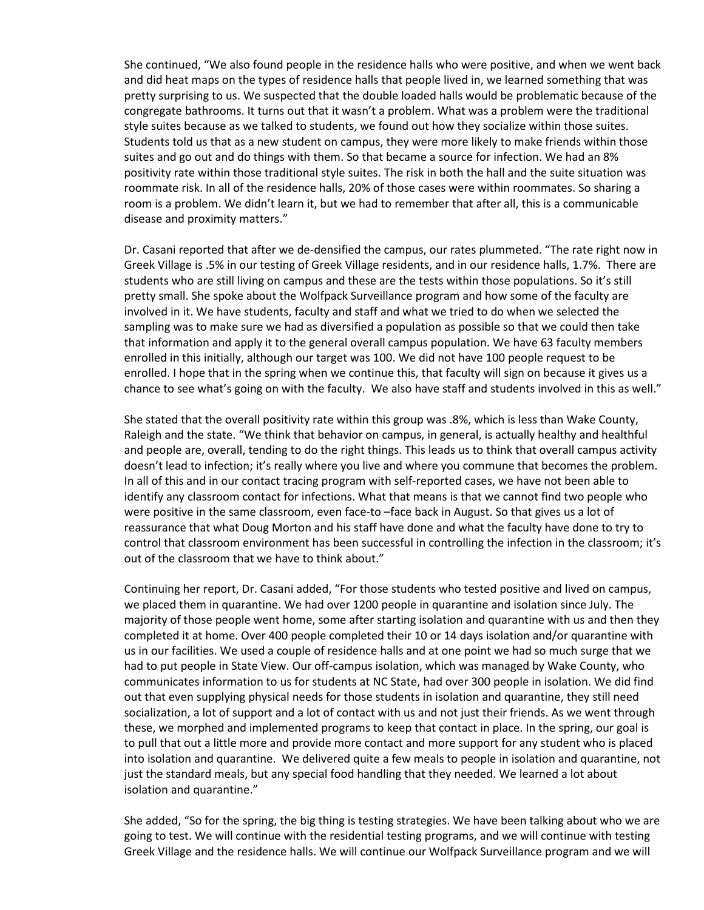She continued, "We also found people in the residence halls who were positive, and when we went back and did heat maps on the types of residence halls that people lived in, we learned something that was pretty surprising to us. We suspected that the double loaded halls would be problematic because of the congregate bathrooms. It turns out that it wasn't a problem. What was a problem were the traditional style suites because as we talked to students, we found out how they socialize within those suites. Students told us that as a new student on campus, they were more likely to make friends within those suites and go out and do things with them. So that became a source for infection. We had an 8% positivity rate within those traditional style suites. The risk in both the hall and the suite situation was roommate risk. In all of the residence halls, 20% of those cases were within roommates. So sharing a room is a problem. We didn't learn it, but we had to remember that after all, this is a communicable disease and proximity matters."

Dr. Casani reported that after we de-densified the campus, our rates plummeted. "The rate right now in Greek Village is .5% in our testing of Greek Village residents, and in our residence halls, 1.7%. There are students who are still living on campus and these are the tests within those populations. So it's still pretty small. She spoke about the Wolfpack Surveillance program and how some of the faculty are involved in it. We have students, faculty and staff and what we tried to do when we selected the sampling was to make sure we had as diversified a population as possible so that we could then take that information and apply it to the general overall campus population. We have 63 faculty members enrolled in this initially, although our target was 100. We did not have 100 people request to be enrolled. I hope that in the spring when we continue this, that faculty will sign on because it gives us a chance to see what's going on with the faculty. We also have staff and students involved in this as well."

She stated that the overall positivity rate within this group was .8%, which is less than Wake County, Raleigh and the state. "We think that behavior on campus, in general, is actually healthy and healthful and people are, overall, tending to do the right things. This leads us to think that overall campus activity doesn't lead to infection; it's really where you live and where you commune that becomes the problem. In all of this and in our contact tracing program with self-reported cases, we have not been able to identify any classroom contact for infections. What that means is that we cannot find two people who were positive in the same classroom, even face-to –face back in August. So that gives us a lot of reassurance that what Doug Morton and his staff have done and what the faculty have done to try to control that classroom environment has been successful in controlling the infection in the classroom; it's out of the classroom that we have to think about."

Continuing her report, Dr. Casani added, "For those students who tested positive and lived on campus, we placed them in quarantine. We had over 1200 people in quarantine and isolation since July. The majority of those people went home, some after starting isolation and quarantine with us and then they completed it at home. Over 400 people completed their 10 or 14 days isolation and/or quarantine with us in our facilities. We used a couple of residence halls and at one point we had so much surge that we had to put people in State View. Our off-campus isolation, which was managed by Wake County, who communicates information to us for students at NC State, had over 300 people in isolation. We did find out that even supplying physical needs for those students in isolation and quarantine, they still need socialization, a lot of support and a lot of contact with us and not just their friends. As we went through these, we morphed and implemented programs to keep that contact in place. In the spring, our goal is to pull that out a little more and provide more contact and more support for any student who is placed into isolation and quarantine. We delivered quite a few meals to people in isolation and quarantine, not just the standard meals, but any special food handling that they needed. We learned a lot about isolation and quarantine."

She added, "So for the spring, the big thing is testing strategies. We have been talking about who we are going to test. We will continue with the residential testing programs, and we will continue with testing Greek Village and the residence halls. We will continue our Wolfpack Surveillance program and we will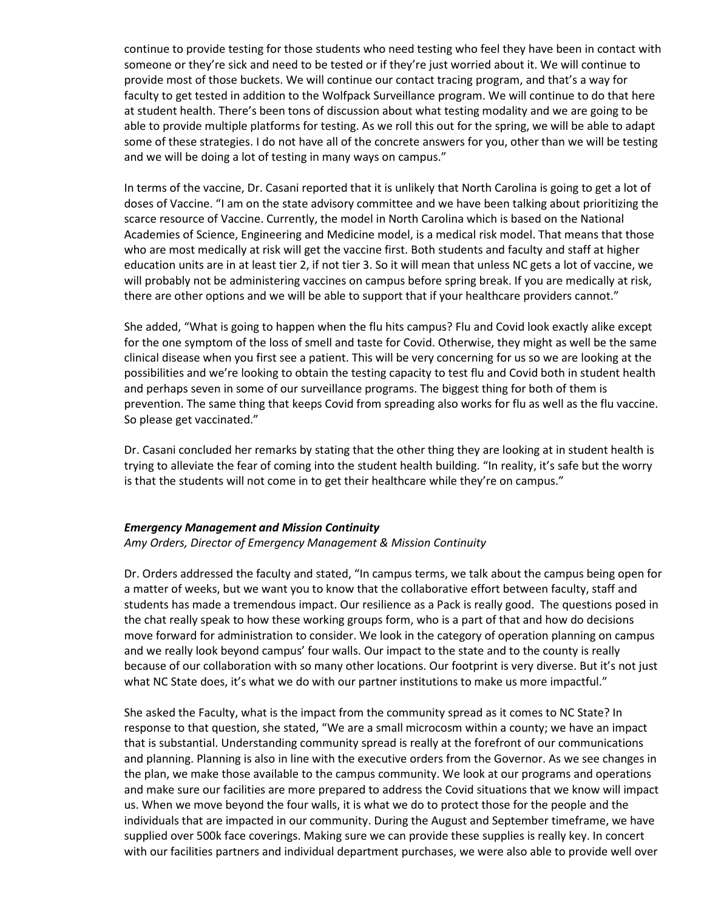continue to provide testing for those students who need testing who feel they have been in contact with someone or they're sick and need to be tested or if they're just worried about it. We will continue to provide most of those buckets. We will continue our contact tracing program, and that's a way for faculty to get tested in addition to the Wolfpack Surveillance program. We will continue to do that here at student health. There's been tons of discussion about what testing modality and we are going to be able to provide multiple platforms for testing. As we roll this out for the spring, we will be able to adapt some of these strategies. I do not have all of the concrete answers for you, other than we will be testing and we will be doing a lot of testing in many ways on campus."

In terms of the vaccine, Dr. Casani reported that it is unlikely that North Carolina is going to get a lot of doses of Vaccine. "I am on the state advisory committee and we have been talking about prioritizing the scarce resource of Vaccine. Currently, the model in North Carolina which is based on the National Academies of Science, Engineering and Medicine model, is a medical risk model. That means that those who are most medically at risk will get the vaccine first. Both students and faculty and staff at higher education units are in at least tier 2, if not tier 3. So it will mean that unless NC gets a lot of vaccine, we will probably not be administering vaccines on campus before spring break. If you are medically at risk, there are other options and we will be able to support that if your healthcare providers cannot."

She added, "What is going to happen when the flu hits campus? Flu and Covid look exactly alike except for the one symptom of the loss of smell and taste for Covid. Otherwise, they might as well be the same clinical disease when you first see a patient. This will be very concerning for us so we are looking at the possibilities and we're looking to obtain the testing capacity to test flu and Covid both in student health and perhaps seven in some of our surveillance programs. The biggest thing for both of them is prevention. The same thing that keeps Covid from spreading also works for flu as well as the flu vaccine. So please get vaccinated."

Dr. Casani concluded her remarks by stating that the other thing they are looking at in student health is trying to alleviate the fear of coming into the student health building. "In reality, it's safe but the worry is that the students will not come in to get their healthcare while they're on campus."

#### *Emergency Management and Mission Continuity*

#### *Amy Orders, Director of Emergency Management & Mission Continuity*

Dr. Orders addressed the faculty and stated, "In campus terms, we talk about the campus being open for a matter of weeks, but we want you to know that the collaborative effort between faculty, staff and students has made a tremendous impact. Our resilience as a Pack is really good. The questions posed in the chat really speak to how these working groups form, who is a part of that and how do decisions move forward for administration to consider. We look in the category of operation planning on campus and we really look beyond campus' four walls. Our impact to the state and to the county is really because of our collaboration with so many other locations. Our footprint is very diverse. But it's not just what NC State does, it's what we do with our partner institutions to make us more impactful."

She asked the Faculty, what is the impact from the community spread as it comes to NC State? In response to that question, she stated, "We are a small microcosm within a county; we have an impact that is substantial. Understanding community spread is really at the forefront of our communications and planning. Planning is also in line with the executive orders from the Governor. As we see changes in the plan, we make those available to the campus community. We look at our programs and operations and make sure our facilities are more prepared to address the Covid situations that we know will impact us. When we move beyond the four walls, it is what we do to protect those for the people and the individuals that are impacted in our community. During the August and September timeframe, we have supplied over 500k face coverings. Making sure we can provide these supplies is really key. In concert with our facilities partners and individual department purchases, we were also able to provide well over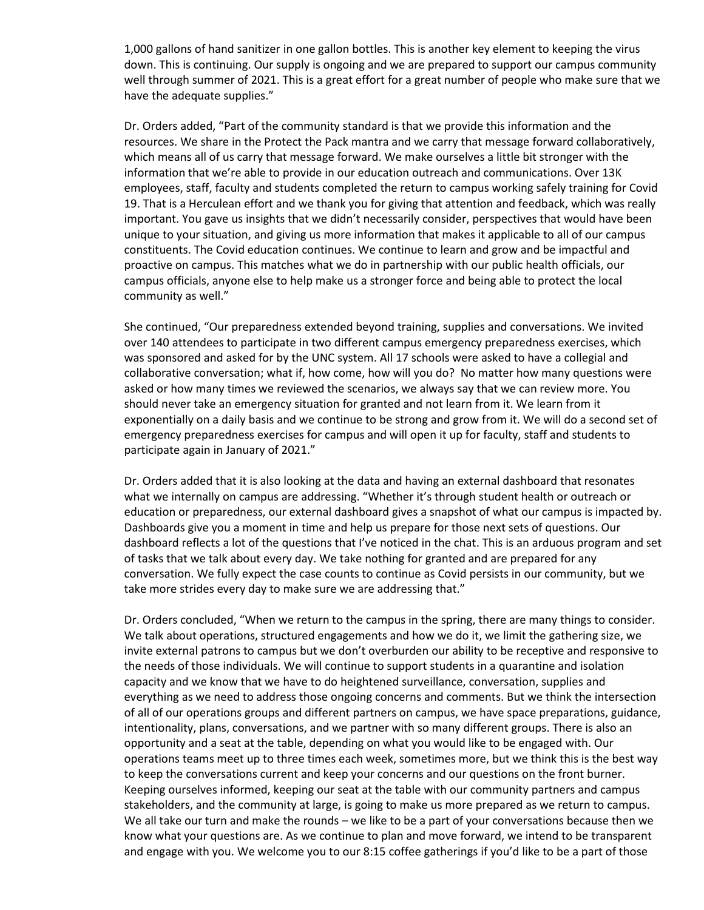1,000 gallons of hand sanitizer in one gallon bottles. This is another key element to keeping the virus down. This is continuing. Our supply is ongoing and we are prepared to support our campus community well through summer of 2021. This is a great effort for a great number of people who make sure that we have the adequate supplies."

Dr. Orders added, "Part of the community standard is that we provide this information and the resources. We share in the Protect the Pack mantra and we carry that message forward collaboratively, which means all of us carry that message forward. We make ourselves a little bit stronger with the information that we're able to provide in our education outreach and communications. Over 13K employees, staff, faculty and students completed the return to campus working safely training for Covid 19. That is a Herculean effort and we thank you for giving that attention and feedback, which was really important. You gave us insights that we didn't necessarily consider, perspectives that would have been unique to your situation, and giving us more information that makes it applicable to all of our campus constituents. The Covid education continues. We continue to learn and grow and be impactful and proactive on campus. This matches what we do in partnership with our public health officials, our campus officials, anyone else to help make us a stronger force and being able to protect the local community as well."

She continued, "Our preparedness extended beyond training, supplies and conversations. We invited over 140 attendees to participate in two different campus emergency preparedness exercises, which was sponsored and asked for by the UNC system. All 17 schools were asked to have a collegial and collaborative conversation; what if, how come, how will you do? No matter how many questions were asked or how many times we reviewed the scenarios, we always say that we can review more. You should never take an emergency situation for granted and not learn from it. We learn from it exponentially on a daily basis and we continue to be strong and grow from it. We will do a second set of emergency preparedness exercises for campus and will open it up for faculty, staff and students to participate again in January of 2021."

Dr. Orders added that it is also looking at the data and having an external dashboard that resonates what we internally on campus are addressing. "Whether it's through student health or outreach or education or preparedness, our external dashboard gives a snapshot of what our campus is impacted by. Dashboards give you a moment in time and help us prepare for those next sets of questions. Our dashboard reflects a lot of the questions that I've noticed in the chat. This is an arduous program and set of tasks that we talk about every day. We take nothing for granted and are prepared for any conversation. We fully expect the case counts to continue as Covid persists in our community, but we take more strides every day to make sure we are addressing that."

Dr. Orders concluded, "When we return to the campus in the spring, there are many things to consider. We talk about operations, structured engagements and how we do it, we limit the gathering size, we invite external patrons to campus but we don't overburden our ability to be receptive and responsive to the needs of those individuals. We will continue to support students in a quarantine and isolation capacity and we know that we have to do heightened surveillance, conversation, supplies and everything as we need to address those ongoing concerns and comments. But we think the intersection of all of our operations groups and different partners on campus, we have space preparations, guidance, intentionality, plans, conversations, and we partner with so many different groups. There is also an opportunity and a seat at the table, depending on what you would like to be engaged with. Our operations teams meet up to three times each week, sometimes more, but we think this is the best way to keep the conversations current and keep your concerns and our questions on the front burner. Keeping ourselves informed, keeping our seat at the table with our community partners and campus stakeholders, and the community at large, is going to make us more prepared as we return to campus. We all take our turn and make the rounds – we like to be a part of your conversations because then we know what your questions are. As we continue to plan and move forward, we intend to be transparent and engage with you. We welcome you to our 8:15 coffee gatherings if you'd like to be a part of those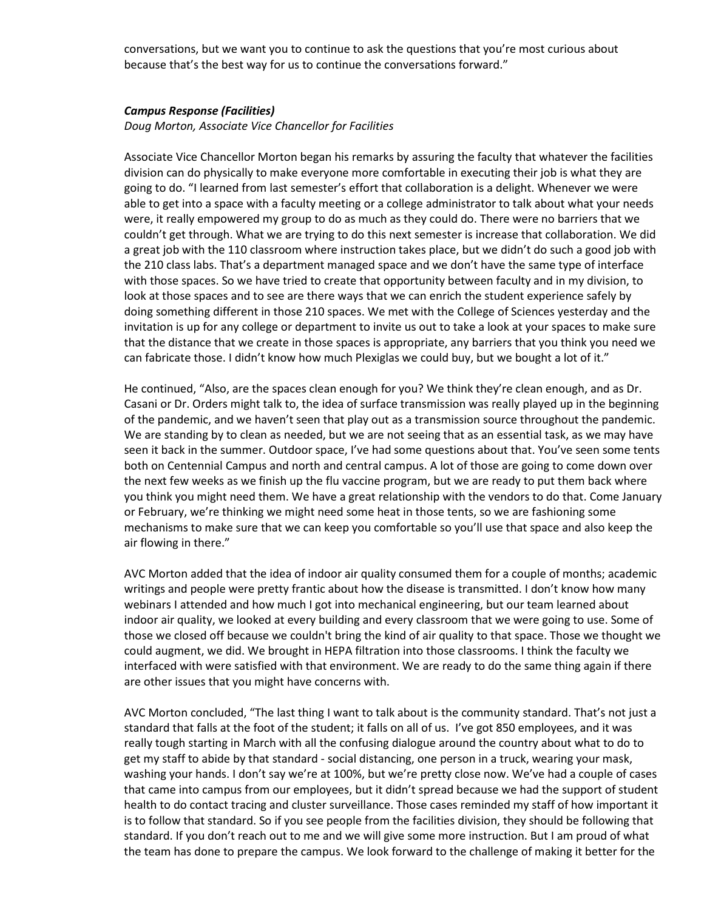conversations, but we want you to continue to ask the questions that you're most curious about because that's the best way for us to continue the conversations forward."

#### *Campus Response (Facilities)*

*Doug Morton, Associate Vice Chancellor for Facilities* 

Associate Vice Chancellor Morton began his remarks by assuring the faculty that whatever the facilities division can do physically to make everyone more comfortable in executing their job is what they are going to do. "I learned from last semester's effort that collaboration is a delight. Whenever we were able to get into a space with a faculty meeting or a college administrator to talk about what your needs were, it really empowered my group to do as much as they could do. There were no barriers that we couldn't get through. What we are trying to do this next semester is increase that collaboration. We did a great job with the 110 classroom where instruction takes place, but we didn't do such a good job with the 210 class labs. That's a department managed space and we don't have the same type of interface with those spaces. So we have tried to create that opportunity between faculty and in my division, to look at those spaces and to see are there ways that we can enrich the student experience safely by doing something different in those 210 spaces. We met with the College of Sciences yesterday and the invitation is up for any college or department to invite us out to take a look at your spaces to make sure that the distance that we create in those spaces is appropriate, any barriers that you think you need we can fabricate those. I didn't know how much Plexiglas we could buy, but we bought a lot of it."

He continued, "Also, are the spaces clean enough for you? We think they're clean enough, and as Dr. Casani or Dr. Orders might talk to, the idea of surface transmission was really played up in the beginning of the pandemic, and we haven't seen that play out as a transmission source throughout the pandemic. We are standing by to clean as needed, but we are not seeing that as an essential task, as we may have seen it back in the summer. Outdoor space, I've had some questions about that. You've seen some tents both on Centennial Campus and north and central campus. A lot of those are going to come down over the next few weeks as we finish up the flu vaccine program, but we are ready to put them back where you think you might need them. We have a great relationship with the vendors to do that. Come January or February, we're thinking we might need some heat in those tents, so we are fashioning some mechanisms to make sure that we can keep you comfortable so you'll use that space and also keep the air flowing in there."

AVC Morton added that the idea of indoor air quality consumed them for a couple of months; academic writings and people were pretty frantic about how the disease is transmitted. I don't know how many webinars I attended and how much I got into mechanical engineering, but our team learned about indoor air quality, we looked at every building and every classroom that we were going to use. Some of those we closed off because we couldn't bring the kind of air quality to that space. Those we thought we could augment, we did. We brought in HEPA filtration into those classrooms. I think the faculty we interfaced with were satisfied with that environment. We are ready to do the same thing again if there are other issues that you might have concerns with.

AVC Morton concluded, "The last thing I want to talk about is the community standard. That's not just a standard that falls at the foot of the student; it falls on all of us. I've got 850 employees, and it was really tough starting in March with all the confusing dialogue around the country about what to do to get my staff to abide by that standard - social distancing, one person in a truck, wearing your mask, washing your hands. I don't say we're at 100%, but we're pretty close now. We've had a couple of cases that came into campus from our employees, but it didn't spread because we had the support of student health to do contact tracing and cluster surveillance. Those cases reminded my staff of how important it is to follow that standard. So if you see people from the facilities division, they should be following that standard. If you don't reach out to me and we will give some more instruction. But I am proud of what the team has done to prepare the campus. We look forward to the challenge of making it better for the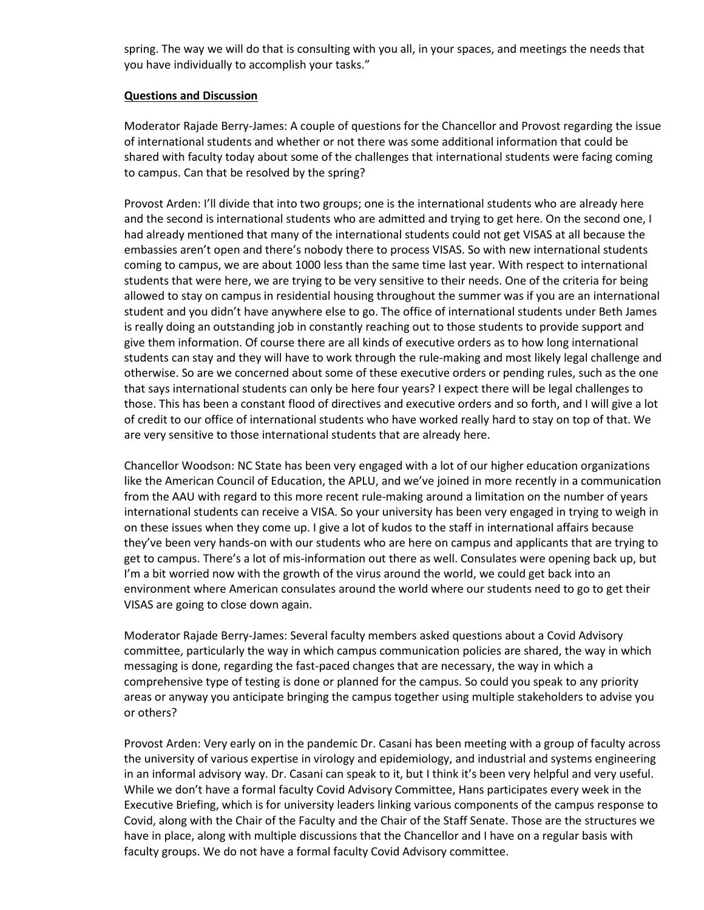spring. The way we will do that is consulting with you all, in your spaces, and meetings the needs that you have individually to accomplish your tasks."

#### **Questions and Discussion**

Moderator Rajade Berry-James: A couple of questions for the Chancellor and Provost regarding the issue of international students and whether or not there was some additional information that could be shared with faculty today about some of the challenges that international students were facing coming to campus. Can that be resolved by the spring?

Provost Arden: I'll divide that into two groups; one is the international students who are already here and the second is international students who are admitted and trying to get here. On the second one, I had already mentioned that many of the international students could not get VISAS at all because the embassies aren't open and there's nobody there to process VISAS. So with new international students coming to campus, we are about 1000 less than the same time last year. With respect to international students that were here, we are trying to be very sensitive to their needs. One of the criteria for being allowed to stay on campus in residential housing throughout the summer was if you are an international student and you didn't have anywhere else to go. The office of international students under Beth James is really doing an outstanding job in constantly reaching out to those students to provide support and give them information. Of course there are all kinds of executive orders as to how long international students can stay and they will have to work through the rule-making and most likely legal challenge and otherwise. So are we concerned about some of these executive orders or pending rules, such as the one that says international students can only be here four years? I expect there will be legal challenges to those. This has been a constant flood of directives and executive orders and so forth, and I will give a lot of credit to our office of international students who have worked really hard to stay on top of that. We are very sensitive to those international students that are already here.

Chancellor Woodson: NC State has been very engaged with a lot of our higher education organizations like the American Council of Education, the APLU, and we've joined in more recently in a communication from the AAU with regard to this more recent rule-making around a limitation on the number of years international students can receive a VISA. So your university has been very engaged in trying to weigh in on these issues when they come up. I give a lot of kudos to the staff in international affairs because they've been very hands-on with our students who are here on campus and applicants that are trying to get to campus. There's a lot of mis-information out there as well. Consulates were opening back up, but I'm a bit worried now with the growth of the virus around the world, we could get back into an environment where American consulates around the world where our students need to go to get their VISAS are going to close down again.

Moderator Rajade Berry-James: Several faculty members asked questions about a Covid Advisory committee, particularly the way in which campus communication policies are shared, the way in which messaging is done, regarding the fast-paced changes that are necessary, the way in which a comprehensive type of testing is done or planned for the campus. So could you speak to any priority areas or anyway you anticipate bringing the campus together using multiple stakeholders to advise you or others?

Provost Arden: Very early on in the pandemic Dr. Casani has been meeting with a group of faculty across the university of various expertise in virology and epidemiology, and industrial and systems engineering in an informal advisory way. Dr. Casani can speak to it, but I think it's been very helpful and very useful. While we don't have a formal faculty Covid Advisory Committee, Hans participates every week in the Executive Briefing, which is for university leaders linking various components of the campus response to Covid, along with the Chair of the Faculty and the Chair of the Staff Senate. Those are the structures we have in place, along with multiple discussions that the Chancellor and I have on a regular basis with faculty groups. We do not have a formal faculty Covid Advisory committee.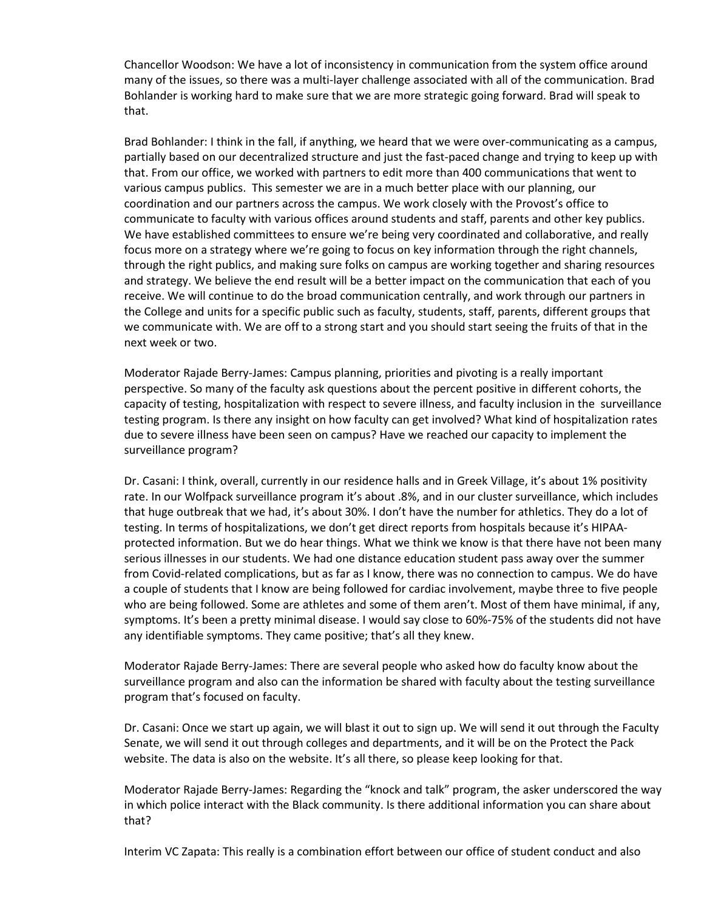Chancellor Woodson: We have a lot of inconsistency in communication from the system office around many of the issues, so there was a multi-layer challenge associated with all of the communication. Brad Bohlander is working hard to make sure that we are more strategic going forward. Brad will speak to that.

Brad Bohlander: I think in the fall, if anything, we heard that we were over-communicating as a campus, partially based on our decentralized structure and just the fast-paced change and trying to keep up with that. From our office, we worked with partners to edit more than 400 communications that went to various campus publics. This semester we are in a much better place with our planning, our coordination and our partners across the campus. We work closely with the Provost's office to communicate to faculty with various offices around students and staff, parents and other key publics. We have established committees to ensure we're being very coordinated and collaborative, and really focus more on a strategy where we're going to focus on key information through the right channels, through the right publics, and making sure folks on campus are working together and sharing resources and strategy. We believe the end result will be a better impact on the communication that each of you receive. We will continue to do the broad communication centrally, and work through our partners in the College and units for a specific public such as faculty, students, staff, parents, different groups that we communicate with. We are off to a strong start and you should start seeing the fruits of that in the next week or two.

Moderator Rajade Berry-James: Campus planning, priorities and pivoting is a really important perspective. So many of the faculty ask questions about the percent positive in different cohorts, the capacity of testing, hospitalization with respect to severe illness, and faculty inclusion in the surveillance testing program. Is there any insight on how faculty can get involved? What kind of hospitalization rates due to severe illness have been seen on campus? Have we reached our capacity to implement the surveillance program?

Dr. Casani: I think, overall, currently in our residence halls and in Greek Village, it's about 1% positivity rate. In our Wolfpack surveillance program it's about .8%, and in our cluster surveillance, which includes that huge outbreak that we had, it's about 30%. I don't have the number for athletics. They do a lot of testing. In terms of hospitalizations, we don't get direct reports from hospitals because it's HIPAAprotected information. But we do hear things. What we think we know is that there have not been many serious illnesses in our students. We had one distance education student pass away over the summer from Covid-related complications, but as far as I know, there was no connection to campus. We do have a couple of students that I know are being followed for cardiac involvement, maybe three to five people who are being followed. Some are athletes and some of them aren't. Most of them have minimal, if any, symptoms. It's been a pretty minimal disease. I would say close to 60%-75% of the students did not have any identifiable symptoms. They came positive; that's all they knew.

Moderator Rajade Berry-James: There are several people who asked how do faculty know about the surveillance program and also can the information be shared with faculty about the testing surveillance program that's focused on faculty.

Dr. Casani: Once we start up again, we will blast it out to sign up. We will send it out through the Faculty Senate, we will send it out through colleges and departments, and it will be on the Protect the Pack website. The data is also on the website. It's all there, so please keep looking for that.

Moderator Rajade Berry-James: Regarding the "knock and talk" program, the asker underscored the way in which police interact with the Black community. Is there additional information you can share about that?

Interim VC Zapata: This really is a combination effort between our office of student conduct and also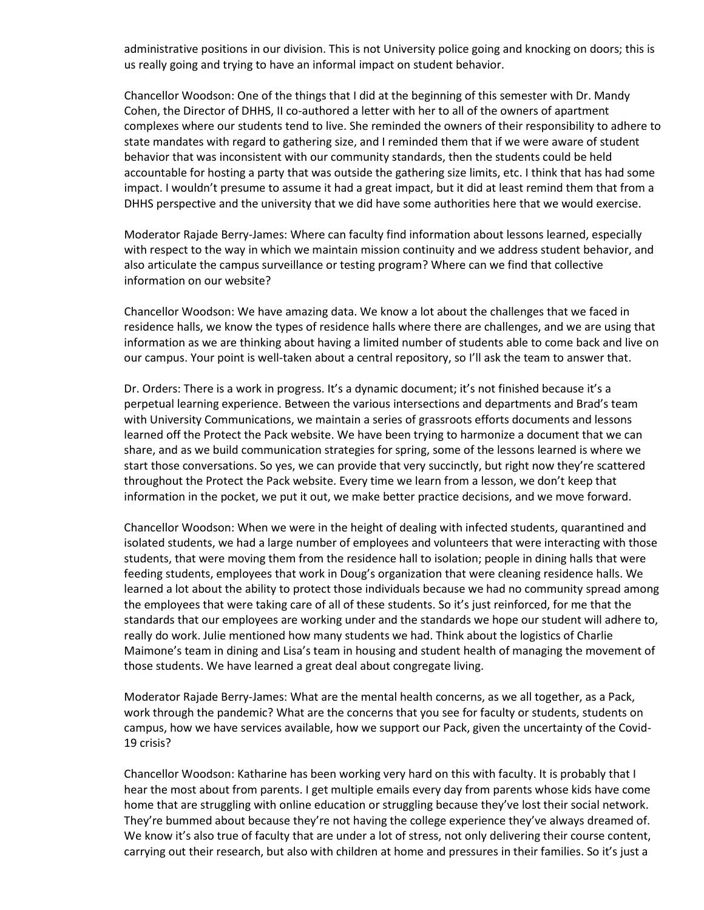administrative positions in our division. This is not University police going and knocking on doors; this is us really going and trying to have an informal impact on student behavior.

Chancellor Woodson: One of the things that I did at the beginning of this semester with Dr. Mandy Cohen, the Director of DHHS, II co-authored a letter with her to all of the owners of apartment complexes where our students tend to live. She reminded the owners of their responsibility to adhere to state mandates with regard to gathering size, and I reminded them that if we were aware of student behavior that was inconsistent with our community standards, then the students could be held accountable for hosting a party that was outside the gathering size limits, etc. I think that has had some impact. I wouldn't presume to assume it had a great impact, but it did at least remind them that from a DHHS perspective and the university that we did have some authorities here that we would exercise.

Moderator Rajade Berry-James: Where can faculty find information about lessons learned, especially with respect to the way in which we maintain mission continuity and we address student behavior, and also articulate the campus surveillance or testing program? Where can we find that collective information on our website?

Chancellor Woodson: We have amazing data. We know a lot about the challenges that we faced in residence halls, we know the types of residence halls where there are challenges, and we are using that information as we are thinking about having a limited number of students able to come back and live on our campus. Your point is well-taken about a central repository, so I'll ask the team to answer that.

Dr. Orders: There is a work in progress. It's a dynamic document; it's not finished because it's a perpetual learning experience. Between the various intersections and departments and Brad's team with University Communications, we maintain a series of grassroots efforts documents and lessons learned off the Protect the Pack website. We have been trying to harmonize a document that we can share, and as we build communication strategies for spring, some of the lessons learned is where we start those conversations. So yes, we can provide that very succinctly, but right now they're scattered throughout the Protect the Pack website. Every time we learn from a lesson, we don't keep that information in the pocket, we put it out, we make better practice decisions, and we move forward.

Chancellor Woodson: When we were in the height of dealing with infected students, quarantined and isolated students, we had a large number of employees and volunteers that were interacting with those students, that were moving them from the residence hall to isolation; people in dining halls that were feeding students, employees that work in Doug's organization that were cleaning residence halls. We learned a lot about the ability to protect those individuals because we had no community spread among the employees that were taking care of all of these students. So it's just reinforced, for me that the standards that our employees are working under and the standards we hope our student will adhere to, really do work. Julie mentioned how many students we had. Think about the logistics of Charlie Maimone's team in dining and Lisa's team in housing and student health of managing the movement of those students. We have learned a great deal about congregate living.

Moderator Rajade Berry-James: What are the mental health concerns, as we all together, as a Pack, work through the pandemic? What are the concerns that you see for faculty or students, students on campus, how we have services available, how we support our Pack, given the uncertainty of the Covid-19 crisis?

Chancellor Woodson: Katharine has been working very hard on this with faculty. It is probably that I hear the most about from parents. I get multiple emails every day from parents whose kids have come home that are struggling with online education or struggling because they've lost their social network. They're bummed about because they're not having the college experience they've always dreamed of. We know it's also true of faculty that are under a lot of stress, not only delivering their course content, carrying out their research, but also with children at home and pressures in their families. So it's just a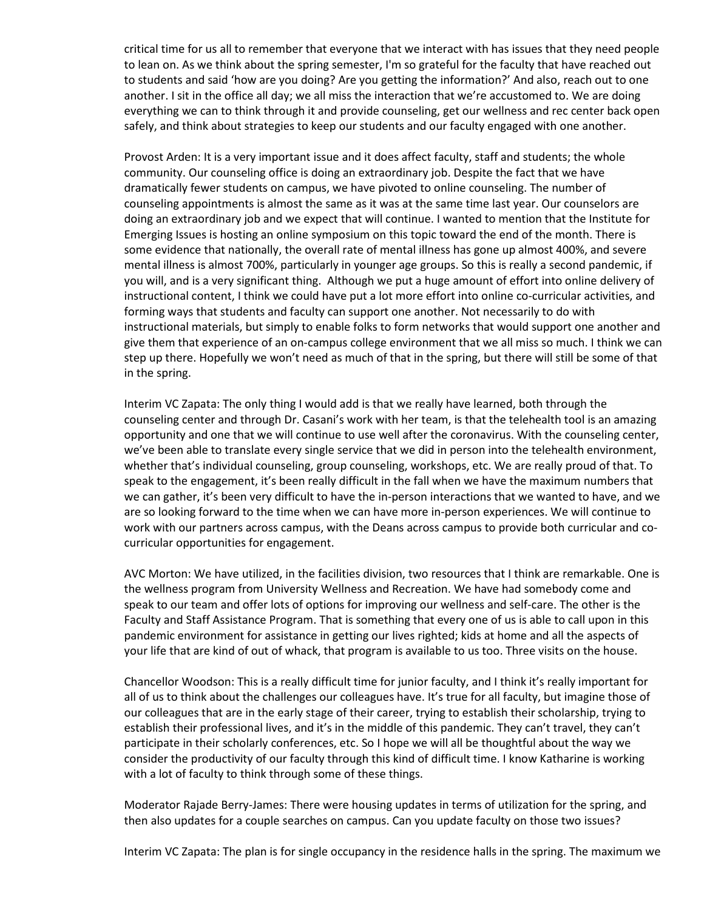critical time for us all to remember that everyone that we interact with has issues that they need people to lean on. As we think about the spring semester, I'm so grateful for the faculty that have reached out to students and said 'how are you doing? Are you getting the information?' And also, reach out to one another. I sit in the office all day; we all miss the interaction that we're accustomed to. We are doing everything we can to think through it and provide counseling, get our wellness and rec center back open safely, and think about strategies to keep our students and our faculty engaged with one another.

Provost Arden: It is a very important issue and it does affect faculty, staff and students; the whole community. Our counseling office is doing an extraordinary job. Despite the fact that we have dramatically fewer students on campus, we have pivoted to online counseling. The number of counseling appointments is almost the same as it was at the same time last year. Our counselors are doing an extraordinary job and we expect that will continue. I wanted to mention that the Institute for Emerging Issues is hosting an online symposium on this topic toward the end of the month. There is some evidence that nationally, the overall rate of mental illness has gone up almost 400%, and severe mental illness is almost 700%, particularly in younger age groups. So this is really a second pandemic, if you will, and is a very significant thing. Although we put a huge amount of effort into online delivery of instructional content, I think we could have put a lot more effort into online co-curricular activities, and forming ways that students and faculty can support one another. Not necessarily to do with instructional materials, but simply to enable folks to form networks that would support one another and give them that experience of an on-campus college environment that we all miss so much. I think we can step up there. Hopefully we won't need as much of that in the spring, but there will still be some of that in the spring.

Interim VC Zapata: The only thing I would add is that we really have learned, both through the counseling center and through Dr. Casani's work with her team, is that the telehealth tool is an amazing opportunity and one that we will continue to use well after the coronavirus. With the counseling center, we've been able to translate every single service that we did in person into the telehealth environment, whether that's individual counseling, group counseling, workshops, etc. We are really proud of that. To speak to the engagement, it's been really difficult in the fall when we have the maximum numbers that we can gather, it's been very difficult to have the in-person interactions that we wanted to have, and we are so looking forward to the time when we can have more in-person experiences. We will continue to work with our partners across campus, with the Deans across campus to provide both curricular and cocurricular opportunities for engagement.

AVC Morton: We have utilized, in the facilities division, two resources that I think are remarkable. One is the wellness program from University Wellness and Recreation. We have had somebody come and speak to our team and offer lots of options for improving our wellness and self-care. The other is the Faculty and Staff Assistance Program. That is something that every one of us is able to call upon in this pandemic environment for assistance in getting our lives righted; kids at home and all the aspects of your life that are kind of out of whack, that program is available to us too. Three visits on the house.

Chancellor Woodson: This is a really difficult time for junior faculty, and I think it's really important for all of us to think about the challenges our colleagues have. It's true for all faculty, but imagine those of our colleagues that are in the early stage of their career, trying to establish their scholarship, trying to establish their professional lives, and it's in the middle of this pandemic. They can't travel, they can't participate in their scholarly conferences, etc. So I hope we will all be thoughtful about the way we consider the productivity of our faculty through this kind of difficult time. I know Katharine is working with a lot of faculty to think through some of these things.

Moderator Rajade Berry-James: There were housing updates in terms of utilization for the spring, and then also updates for a couple searches on campus. Can you update faculty on those two issues?

Interim VC Zapata: The plan is for single occupancy in the residence halls in the spring. The maximum we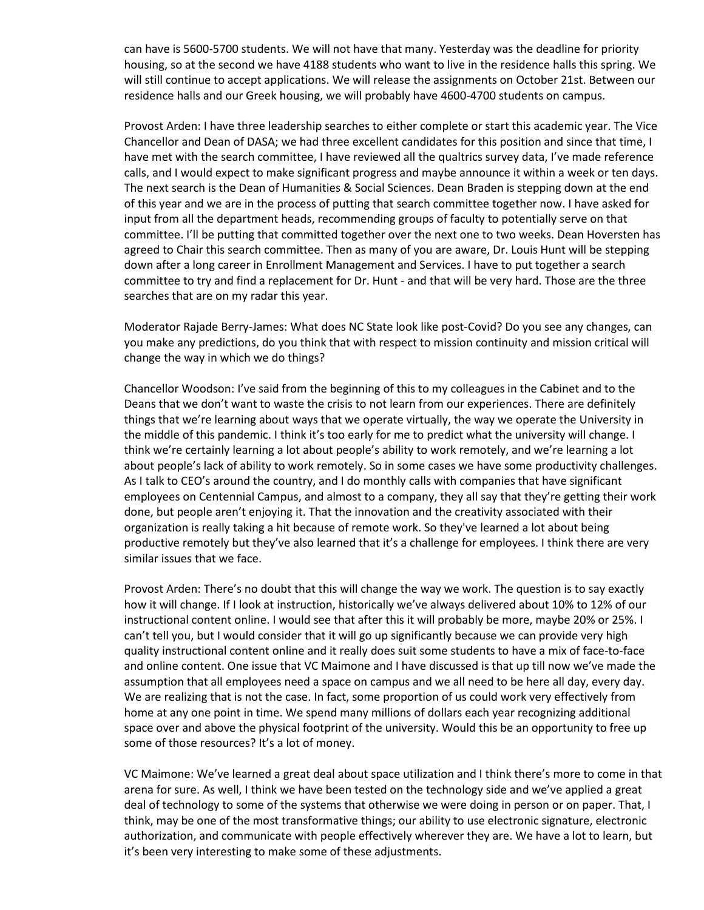can have is 5600-5700 students. We will not have that many. Yesterday was the deadline for priority housing, so at the second we have 4188 students who want to live in the residence halls this spring. We will still continue to accept applications. We will release the assignments on October 21st. Between our residence halls and our Greek housing, we will probably have 4600-4700 students on campus.

Provost Arden: I have three leadership searches to either complete or start this academic year. The Vice Chancellor and Dean of DASA; we had three excellent candidates for this position and since that time, I have met with the search committee, I have reviewed all the qualtrics survey data, I've made reference calls, and I would expect to make significant progress and maybe announce it within a week or ten days. The next search is the Dean of Humanities & Social Sciences. Dean Braden is stepping down at the end of this year and we are in the process of putting that search committee together now. I have asked for input from all the department heads, recommending groups of faculty to potentially serve on that committee. I'll be putting that committed together over the next one to two weeks. Dean Hoversten has agreed to Chair this search committee. Then as many of you are aware, Dr. Louis Hunt will be stepping down after a long career in Enrollment Management and Services. I have to put together a search committee to try and find a replacement for Dr. Hunt - and that will be very hard. Those are the three searches that are on my radar this year.

Moderator Rajade Berry-James: What does NC State look like post-Covid? Do you see any changes, can you make any predictions, do you think that with respect to mission continuity and mission critical will change the way in which we do things?

Chancellor Woodson: I've said from the beginning of this to my colleagues in the Cabinet and to the Deans that we don't want to waste the crisis to not learn from our experiences. There are definitely things that we're learning about ways that we operate virtually, the way we operate the University in the middle of this pandemic. I think it's too early for me to predict what the university will change. I think we're certainly learning a lot about people's ability to work remotely, and we're learning a lot about people's lack of ability to work remotely. So in some cases we have some productivity challenges. As I talk to CEO's around the country, and I do monthly calls with companies that have significant employees on Centennial Campus, and almost to a company, they all say that they're getting their work done, but people aren't enjoying it. That the innovation and the creativity associated with their organization is really taking a hit because of remote work. So they've learned a lot about being productive remotely but they've also learned that it's a challenge for employees. I think there are very similar issues that we face.

Provost Arden: There's no doubt that this will change the way we work. The question is to say exactly how it will change. If I look at instruction, historically we've always delivered about 10% to 12% of our instructional content online. I would see that after this it will probably be more, maybe 20% or 25%. I can't tell you, but I would consider that it will go up significantly because we can provide very high quality instructional content online and it really does suit some students to have a mix of face-to-face and online content. One issue that VC Maimone and I have discussed is that up till now we've made the assumption that all employees need a space on campus and we all need to be here all day, every day. We are realizing that is not the case. In fact, some proportion of us could work very effectively from home at any one point in time. We spend many millions of dollars each year recognizing additional space over and above the physical footprint of the university. Would this be an opportunity to free up some of those resources? It's a lot of money.

VC Maimone: We've learned a great deal about space utilization and I think there's more to come in that arena for sure. As well, I think we have been tested on the technology side and we've applied a great deal of technology to some of the systems that otherwise we were doing in person or on paper. That, I think, may be one of the most transformative things; our ability to use electronic signature, electronic authorization, and communicate with people effectively wherever they are. We have a lot to learn, but it's been very interesting to make some of these adjustments.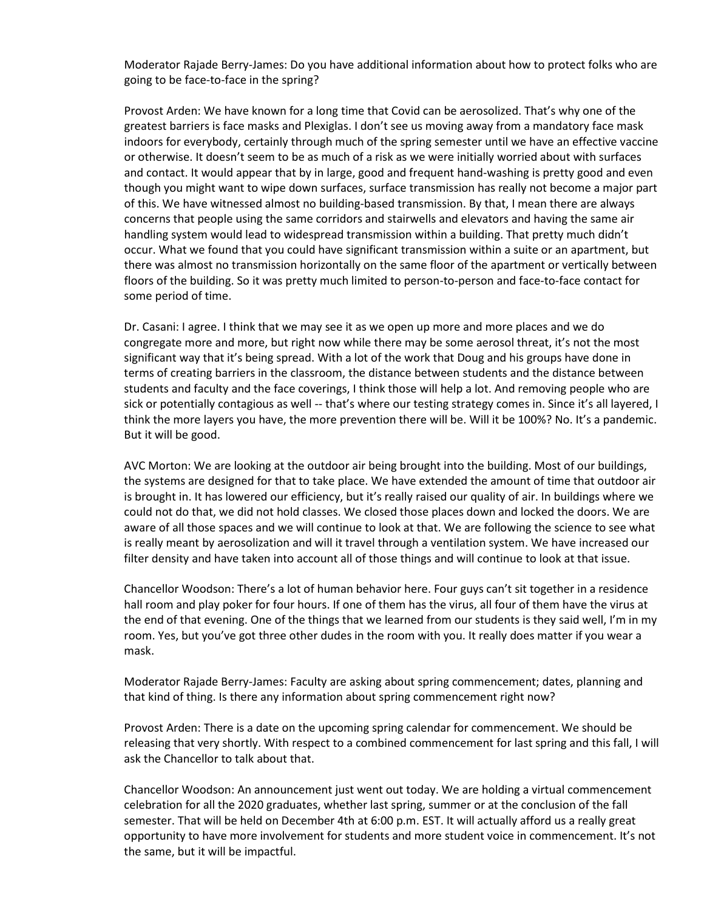Moderator Rajade Berry-James: Do you have additional information about how to protect folks who are going to be face-to-face in the spring?

Provost Arden: We have known for a long time that Covid can be aerosolized. That's why one of the greatest barriers is face masks and Plexiglas. I don't see us moving away from a mandatory face mask indoors for everybody, certainly through much of the spring semester until we have an effective vaccine or otherwise. It doesn't seem to be as much of a risk as we were initially worried about with surfaces and contact. It would appear that by in large, good and frequent hand-washing is pretty good and even though you might want to wipe down surfaces, surface transmission has really not become a major part of this. We have witnessed almost no building-based transmission. By that, I mean there are always concerns that people using the same corridors and stairwells and elevators and having the same air handling system would lead to widespread transmission within a building. That pretty much didn't occur. What we found that you could have significant transmission within a suite or an apartment, but there was almost no transmission horizontally on the same floor of the apartment or vertically between floors of the building. So it was pretty much limited to person-to-person and face-to-face contact for some period of time.

Dr. Casani: I agree. I think that we may see it as we open up more and more places and we do congregate more and more, but right now while there may be some aerosol threat, it's not the most significant way that it's being spread. With a lot of the work that Doug and his groups have done in terms of creating barriers in the classroom, the distance between students and the distance between students and faculty and the face coverings, I think those will help a lot. And removing people who are sick or potentially contagious as well -- that's where our testing strategy comes in. Since it's all layered, I think the more layers you have, the more prevention there will be. Will it be 100%? No. It's a pandemic. But it will be good.

AVC Morton: We are looking at the outdoor air being brought into the building. Most of our buildings, the systems are designed for that to take place. We have extended the amount of time that outdoor air is brought in. It has lowered our efficiency, but it's really raised our quality of air. In buildings where we could not do that, we did not hold classes. We closed those places down and locked the doors. We are aware of all those spaces and we will continue to look at that. We are following the science to see what is really meant by aerosolization and will it travel through a ventilation system. We have increased our filter density and have taken into account all of those things and will continue to look at that issue.

Chancellor Woodson: There's a lot of human behavior here. Four guys can't sit together in a residence hall room and play poker for four hours. If one of them has the virus, all four of them have the virus at the end of that evening. One of the things that we learned from our students is they said well, I'm in my room. Yes, but you've got three other dudes in the room with you. It really does matter if you wear a mask.

Moderator Rajade Berry-James: Faculty are asking about spring commencement; dates, planning and that kind of thing. Is there any information about spring commencement right now?

Provost Arden: There is a date on the upcoming spring calendar for commencement. We should be releasing that very shortly. With respect to a combined commencement for last spring and this fall, I will ask the Chancellor to talk about that.

Chancellor Woodson: An announcement just went out today. We are holding a virtual commencement celebration for all the 2020 graduates, whether last spring, summer or at the conclusion of the fall semester. That will be held on December 4th at 6:00 p.m. EST. It will actually afford us a really great opportunity to have more involvement for students and more student voice in commencement. It's not the same, but it will be impactful.